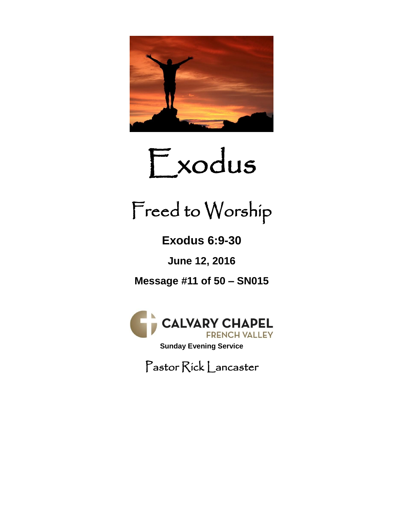



Freed to Worship

**Exodus 6:9-30**

**June 12, 2016**

**Message #11 of 50 – SN015**



Pastor Rick Lancaster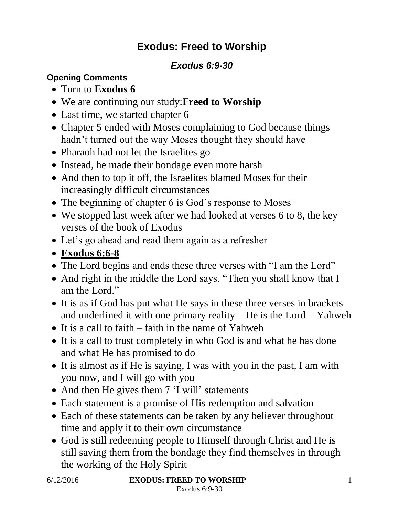# **Exodus: Freed to Worship**

#### *Exodus 6:9-30*

#### **Opening Comments**

- Turn to **Exodus 6**
- We are continuing our study:**Freed to Worship**
- Last time, we started chapter 6
- Chapter 5 ended with Moses complaining to God because things hadn"t turned out the way Moses thought they should have
- Pharaoh had not let the Israelites go
- Instead, he made their bondage even more harsh
- And then to top it off, the Israelites blamed Moses for their increasingly difficult circumstances
- The beginning of chapter 6 is God's response to Moses
- We stopped last week after we had looked at verses 6 to 8, the key verses of the book of Exodus
- Let's go ahead and read them again as a refresher
- **Exodus 6:6-8**
- The Lord begins and ends these three verses with "I am the Lord"
- And right in the middle the Lord says, "Then you shall know that I am the Lord."
- It is as if God has put what He says in these three verses in brackets and underlined it with one primary reality – He is the Lord  $=$  Yahweh
- $\bullet$  It is a call to faith faith in the name of Yahweh
- It is a call to trust completely in who God is and what he has done and what He has promised to do
- It is almost as if He is saying, I was with you in the past, I am with you now, and I will go with you
- And then He gives them 7 'I will' statements
- Each statement is a promise of His redemption and salvation
- Each of these statements can be taken by any believer throughout time and apply it to their own circumstance
- God is still redeeming people to Himself through Christ and He is still saving them from the bondage they find themselves in through the working of the Holy Spirit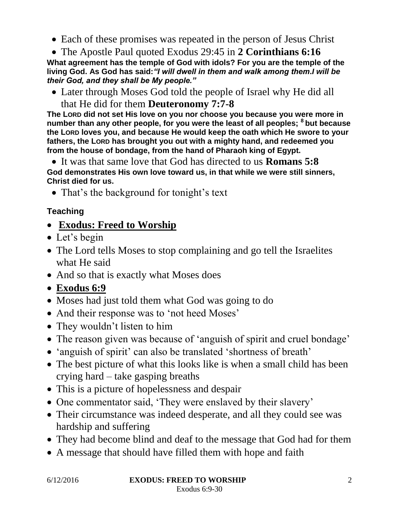• Each of these promises was repeated in the person of Jesus Christ

 The Apostle Paul quoted Exodus 29:45 in **2 Corinthians 6:16 What agreement has the temple of God with idols? For you are the temple of the living God. As God has said:***"I will dwell in them and walk among them***.***I will be their God, and they shall be My people."*

• Later through Moses God told the people of Israel why He did all that He did for them **Deuteronomy 7:7-8**

**The LORD did not set His love on you nor choose you because you were more in number than any other people, for you were the least of all peoples; <sup>8</sup> but because the LORD loves you, and because He would keep the oath which He swore to your fathers, the LORD has brought you out with a mighty hand, and redeemed you from the house of bondage, from the hand of Pharaoh king of Egypt.**

 It was that same love that God has directed to us **Romans 5:8 God demonstrates His own love toward us, in that while we were still sinners, Christ died for us.**

• That's the background for tonight's text

## **Teaching**

- **Exodus: Freed to Worship**
- $\bullet$  Let's begin
- The Lord tells Moses to stop complaining and go tell the Israelites what He said
- And so that is exactly what Moses does
- **Exodus 6:9**
- Moses had just told them what God was going to do
- And their response was to 'not heed Moses'
- They wouldn't listen to him
- The reason given was because of 'anguish of spirit and cruel bondage'
- 'anguish of spirit' can also be translated 'shortness of breath'
- The best picture of what this looks like is when a small child has been crying hard – take gasping breaths
- This is a picture of hopelessness and despair
- One commentator said, 'They were enslaved by their slavery'
- Their circumstance was indeed desperate, and all they could see was hardship and suffering
- They had become blind and deaf to the message that God had for them
- A message that should have filled them with hope and faith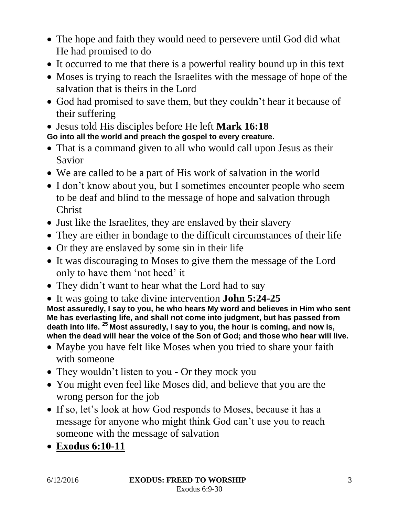- The hope and faith they would need to persevere until God did what He had promised to do
- It occurred to me that there is a powerful reality bound up in this text
- Moses is trying to reach the Israelites with the message of hope of the salvation that is theirs in the Lord
- God had promised to save them, but they couldn't hear it because of their suffering
- Jesus told His disciples before He left **Mark 16:18 Go into all the world and preach the gospel to every creature.**
- That is a command given to all who would call upon Jesus as their Savior
- We are called to be a part of His work of salvation in the world
- I don't know about you, but I sometimes encounter people who seem to be deaf and blind to the message of hope and salvation through Christ
- Just like the Israelites, they are enslaved by their slavery
- They are either in bondage to the difficult circumstances of their life
- Or they are enslaved by some sin in their life
- It was discouraging to Moses to give them the message of the Lord only to have them "not heed" it
- They didn't want to hear what the Lord had to say
- It was going to take divine intervention **John 5:24-25**

**Most assuredly, I say to you, he who hears My word and believes in Him who sent Me has everlasting life, and shall not come into judgment, but has passed from death into life. <sup>25</sup> Most assuredly, I say to you, the hour is coming, and now is, when the dead will hear the voice of the Son of God; and those who hear will live.**

- Maybe you have felt like Moses when you tried to share your faith with someone
- They wouldn't listen to you Or they mock you
- You might even feel like Moses did, and believe that you are the wrong person for the job
- If so, let's look at how God responds to Moses, because it has a message for anyone who might think God can"t use you to reach someone with the message of salvation
- **Exodus 6:10-11**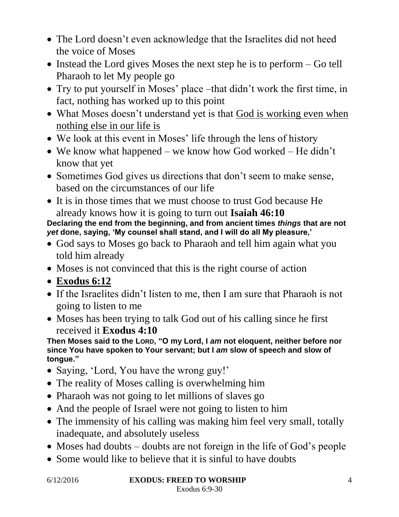- The Lord doesn't even acknowledge that the Israelites did not heed the voice of Moses
- Instead the Lord gives Moses the next step he is to perform Go tell Pharaoh to let My people go
- Try to put yourself in Moses' place –that didn't work the first time, in fact, nothing has worked up to this point
- What Moses doesn't understand yet is that God is working even when nothing else in our life is
- We look at this event in Moses' life through the lens of history
- We know what happened we know how God worked He didn't know that yet
- Sometimes God gives us directions that don't seem to make sense, based on the circumstances of our life
- It is in those times that we must choose to trust God because He already knows how it is going to turn out **Isaiah 46:10**

#### **Declaring the end from the beginning, and from ancient times** *things* **that are not**  *yet* **done, saying, ‗My counsel shall stand, and I will do all My pleasure,'**

- God says to Moses go back to Pharaoh and tell him again what you told him already
- Moses is not convinced that this is the right course of action
- **Exodus 6:12**
- If the Israelites didn"t listen to me, then I am sure that Pharaoh is not going to listen to me
- Moses has been trying to talk God out of his calling since he first received it **Exodus 4:10**

Then Moses said to the LORD, "O my Lord, I am not eloquent, neither before nor **since You have spoken to Your servant; but I** *am* **slow of speech and slow of tongue.‖**

- Saying, 'Lord, You have the wrong guy!'
- The reality of Moses calling is overwhelming him
- Pharaoh was not going to let millions of slaves go
- And the people of Israel were not going to listen to him
- The immensity of his calling was making him feel very small, totally inadequate, and absolutely useless
- Moses had doubts doubts are not foreign in the life of God's people
- Some would like to believe that it is sinful to have doubts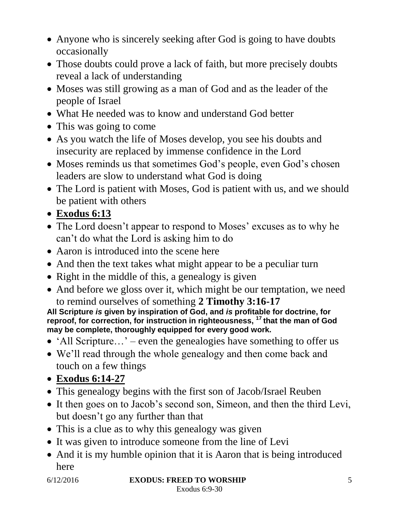- Anyone who is sincerely seeking after God is going to have doubts occasionally
- Those doubts could prove a lack of faith, but more precisely doubts reveal a lack of understanding
- Moses was still growing as a man of God and as the leader of the people of Israel
- What He needed was to know and understand God better
- This was going to come
- As you watch the life of Moses develop, you see his doubts and insecurity are replaced by immense confidence in the Lord
- Moses reminds us that sometimes God's people, even God's chosen leaders are slow to understand what God is doing
- The Lord is patient with Moses, God is patient with us, and we should be patient with others
- **Exodus 6:13**
- The Lord doesn't appear to respond to Moses' excuses as to why he can"t do what the Lord is asking him to do
- Aaron is introduced into the scene here
- And then the text takes what might appear to be a peculiar turn
- Right in the middle of this, a genealogy is given
- And before we gloss over it, which might be our temptation, we need to remind ourselves of something **2 Timothy 3:16-17**

**All Scripture** *is* **given by inspiration of God, and** *is* **profitable for doctrine, for reproof, for correction, for instruction in righteousness, <sup>17</sup> that the man of God may be complete, thoroughly equipped for every good work.**

- $\bullet$  'All Scripture...' even the genealogies have something to offer us
- We'll read through the whole genealogy and then come back and touch on a few things

## **Exodus 6:14-27**

- This genealogy begins with the first son of Jacob/Israel Reuben
- It then goes on to Jacob's second son, Simeon, and then the third Levi, but doesn"t go any further than that
- This is a clue as to why this genealogy was given
- It was given to introduce someone from the line of Levi
- And it is my humble opinion that it is Aaron that is being introduced here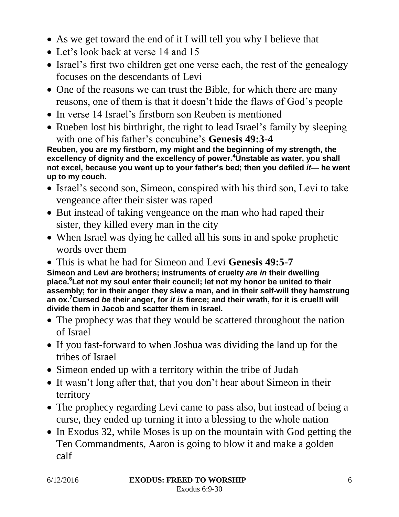- As we get toward the end of it I will tell you why I believe that
- Let's look back at verse 14 and 15
- Israel's first two children get one verse each, the rest of the genealogy focuses on the descendants of Levi
- One of the reasons we can trust the Bible, for which there are many reasons, one of them is that it doesn"t hide the flaws of God"s people
- In verse 14 Israel's firstborn son Reuben is mentioned
- Rueben lost his birthright, the right to lead Israel's family by sleeping with one of his father"s concubine"s **Genesis 49:3-4**

**Reuben, you are my firstborn, my might and the beginning of my strength, the excellency of dignity and the excellency of power.<sup>4</sup>Unstable as water, you shall not excel, because you went up to your father's bed; then you defiled** *it***— he went up to my couch.**

- Israel's second son, Simeon, conspired with his third son, Levi to take vengeance after their sister was raped
- But instead of taking vengeance on the man who had raped their sister, they killed every man in the city
- When Israel was dying he called all his sons in and spoke prophetic words over them
- This is what he had for Simeon and Levi **Genesis 49:5-7**

**Simeon and Levi** *are* **brothers; instruments of cruelty** *are in* **their dwelling place.<sup>6</sup> Let not my soul enter their council; let not my honor be united to their assembly; for in their anger they slew a man, and in their self-will they hamstrung an ox.<sup>7</sup>Cursed** *be* **their anger, for** *it is* **fierce; and their wrath, for it is cruel!I will divide them in Jacob and scatter them in Israel.**

- The prophecy was that they would be scattered throughout the nation of Israel
- If you fast-forward to when Joshua was dividing the land up for the tribes of Israel
- Simeon ended up with a territory within the tribe of Judah
- It wasn't long after that, that you don't hear about Simeon in their territory
- The prophecy regarding Levi came to pass also, but instead of being a curse, they ended up turning it into a blessing to the whole nation
- In Exodus 32, while Moses is up on the mountain with God getting the Ten Commandments, Aaron is going to blow it and make a golden calf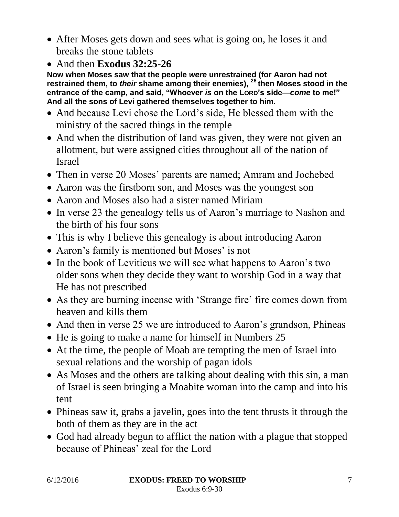- After Moses gets down and sees what is going on, he loses it and breaks the stone tablets
- And then **Exodus** 32:25-26

**Now when Moses saw that the people** *were* **unrestrained (for Aaron had not restrained them, to** *their* **shame among their enemies), <sup>26</sup> then Moses stood in the**  entrance of the camp, and said, "Whoever *is* on the LORD's side-come to me!" **And all the sons of Levi gathered themselves together to him.**

- And because Levi chose the Lord's side. He blessed them with the ministry of the sacred things in the temple
- And when the distribution of land was given, they were not given an allotment, but were assigned cities throughout all of the nation of Israel
- Then in verse 20 Moses' parents are named; Amram and Jochebed
- Aaron was the firstborn son, and Moses was the youngest son
- Aaron and Moses also had a sister named Miriam
- In verse 23 the genealogy tells us of Aaron's marriage to Nashon and the birth of his four sons
- This is why I believe this genealogy is about introducing Aaron
- Aaron's family is mentioned but Moses' is not
- In the book of Leviticus we will see what happens to Aaron's two older sons when they decide they want to worship God in a way that He has not prescribed
- As they are burning incense with 'Strange fire' fire comes down from heaven and kills them
- And then in verse 25 we are introduced to Aaron's grandson, Phineas
- He is going to make a name for himself in Numbers 25
- At the time, the people of Moab are tempting the men of Israel into sexual relations and the worship of pagan idols
- As Moses and the others are talking about dealing with this sin, a man of Israel is seen bringing a Moabite woman into the camp and into his tent
- Phineas saw it, grabs a javelin, goes into the tent thrusts it through the both of them as they are in the act
- God had already begun to afflict the nation with a plague that stopped because of Phineas" zeal for the Lord